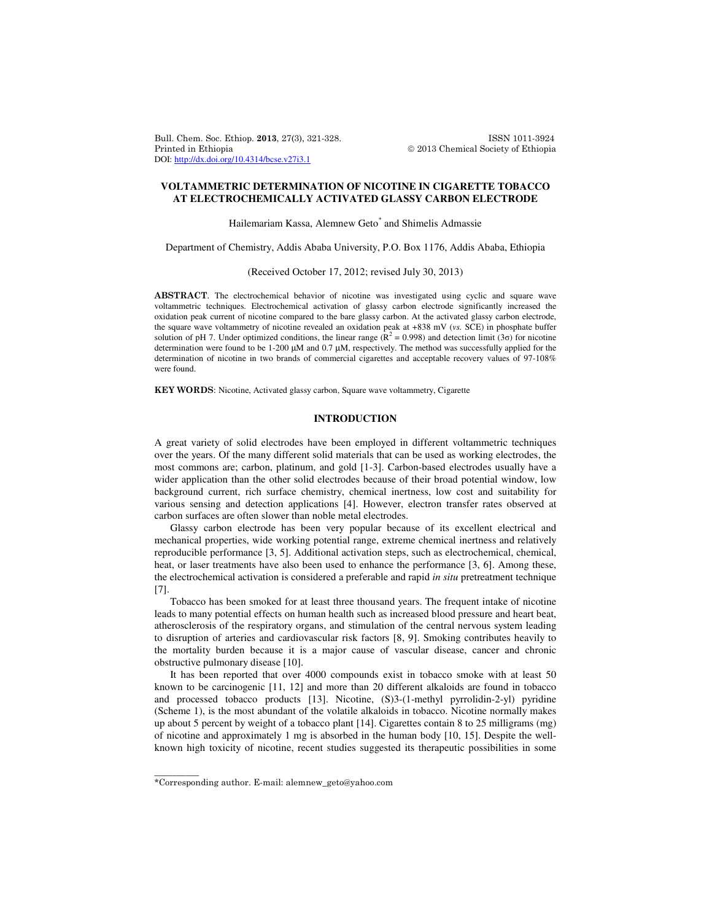Bull. Chem. Soc. Ethiop. 2013, 27(3), 321-328. ISSN 1011-3924 Printed in Ethiopia 2013 Chemical Society of Ethiopia DOI: http://dx.doi.org/10.4314/bcse.v27i3.1

## **VOLTAMMETRIC DETERMINATION OF NICOTINE IN CIGARETTE TOBACCO AT ELECTROCHEMICALLY ACTIVATED GLASSY CARBON ELECTRODE**

Hailemariam Kassa, Alemnew Geto<sup>\*</sup> and Shimelis Admassie

Department of Chemistry, Addis Ababa University, P.O. Box 1176, Addis Ababa, Ethiopia

### (Received October 17, 2012; revised July 30, 2013)

ABSTRACT. The electrochemical behavior of nicotine was investigated using cyclic and square wave voltammetric techniques. Electrochemical activation of glassy carbon electrode significantly increased the oxidation peak current of nicotine compared to the bare glassy carbon. At the activated glassy carbon electrode, the square wave voltammetry of nicotine revealed an oxidation peak at +838 mV (*vs.* SCE) in phosphate buffer solution of pH 7. Under optimized conditions, the linear range ( $\mathbb{R}^2 = 0.998$ ) and detection limit (3 $\sigma$ ) for nicotine determination were found to be 1-200 µM and 0.7 µM, respectively. The method was successfully applied for the determination of nicotine in two brands of commercial cigarettes and acceptable recovery values of 97-108% were found.

KEY WORDS: Nicotine, Activated glassy carbon, Square wave voltammetry, Cigarette

# **INTRODUCTION**

A great variety of solid electrodes have been employed in different voltammetric techniques over the years. Of the many different solid materials that can be used as working electrodes, the most commons are; carbon, platinum, and gold [1-3]. Carbon-based electrodes usually have a wider application than the other solid electrodes because of their broad potential window, low background current, rich surface chemistry, chemical inertness, low cost and suitability for various sensing and detection applications [4]. However, electron transfer rates observed at carbon surfaces are often slower than noble metal electrodes.

Glassy carbon electrode has been very popular because of its excellent electrical and mechanical properties, wide working potential range, extreme chemical inertness and relatively reproducible performance [3, 5]. Additional activation steps, such as electrochemical, chemical, heat, or laser treatments have also been used to enhance the performance [3, 6]. Among these, the electrochemical activation is considered a preferable and rapid *in situ* pretreatment technique [7].

Tobacco has been smoked for at least three thousand years. The frequent intake of nicotine leads to many potential effects on human health such as increased blood pressure and heart beat, atherosclerosis of the respiratory organs, and stimulation of the central nervous system leading to disruption of arteries and cardiovascular risk factors [8, 9]. Smoking contributes heavily to the mortality burden because it is a major cause of vascular disease, cancer and chronic obstructive pulmonary disease [10].

It has been reported that over 4000 compounds exist in tobacco smoke with at least 50 known to be carcinogenic [11, 12] and more than 20 different alkaloids are found in tobacco and processed tobacco products [13]. Nicotine, (S)3-(1-methyl pyrrolidin-2-yl) pyridine (Scheme 1), is the most abundant of the volatile alkaloids in tobacco. Nicotine normally makes up about 5 percent by weight of a tobacco plant [14]. Cigarettes contain 8 to 25 milligrams (mg) of nicotine and approximately 1 mg is absorbed in the human body [10, 15]. Despite the wellknown high toxicity of nicotine, recent studies suggested its therapeutic possibilities in some

\_\_\_\_\_\_\_\_\_\_

<sup>\*</sup>Corresponding author. E-mail: alemnew\_geto@yahoo.com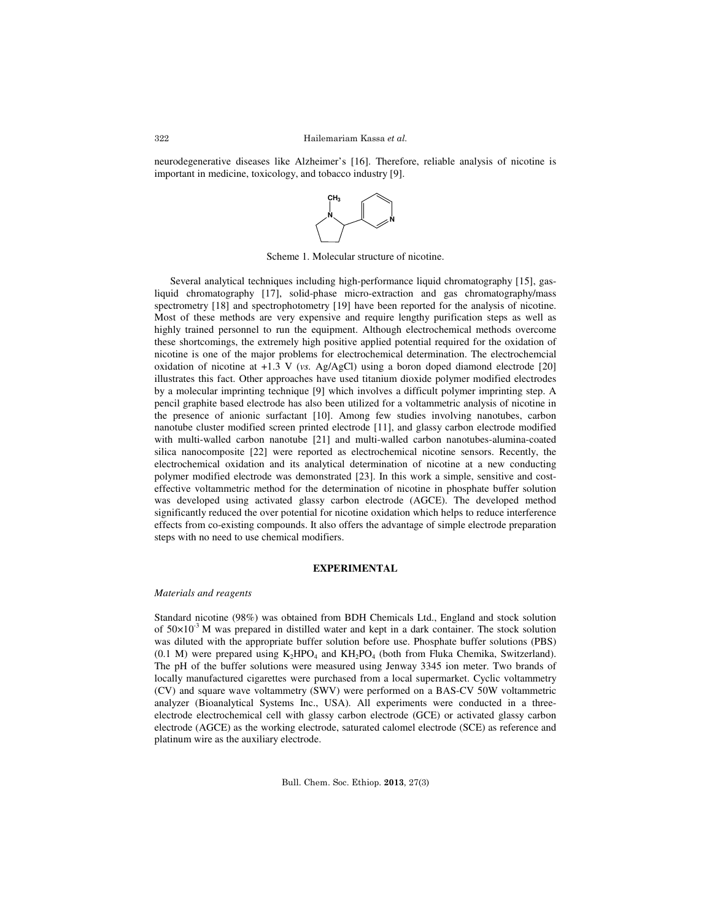neurodegenerative diseases like Alzheimer's [16]. Therefore, reliable analysis of nicotine is important in medicine, toxicology, and tobacco industry [9].



Scheme 1. Molecular structure of nicotine.

Several analytical techniques including high-performance liquid chromatography [15], gasliquid chromatography [17], solid-phase micro-extraction and gas chromatography/mass spectrometry [18] and spectrophotometry [19] have been reported for the analysis of nicotine. Most of these methods are very expensive and require lengthy purification steps as well as highly trained personnel to run the equipment. Although electrochemical methods overcome these shortcomings, the extremely high positive applied potential required for the oxidation of nicotine is one of the major problems for electrochemical determination. The electrochemcial oxidation of nicotine at +1.3 V (*vs.* Ag/AgCl) using a boron doped diamond electrode [20] illustrates this fact. Other approaches have used titanium dioxide polymer modified electrodes by a molecular imprinting technique [9] which involves a difficult polymer imprinting step. A pencil graphite based electrode has also been utilized for a voltammetric analysis of nicotine in the presence of anionic surfactant [10]. Among few studies involving nanotubes, carbon nanotube cluster modified screen printed electrode [11], and glassy carbon electrode modified with multi-walled carbon nanotube [21] and multi-walled carbon nanotubes-alumina-coated silica nanocomposite [22] were reported as electrochemical nicotine sensors. Recently, the electrochemical oxidation and its analytical determination of nicotine at a new conducting polymer modified electrode was demonstrated [23]. In this work a simple, sensitive and costeffective voltammetric method for the determination of nicotine in phosphate buffer solution was developed using activated glassy carbon electrode (AGCE). The developed method significantly reduced the over potential for nicotine oxidation which helps to reduce interference effects from co-existing compounds. It also offers the advantage of simple electrode preparation steps with no need to use chemical modifiers.

## **EXPERIMENTAL**

### *Materials and reagents*

Standard nicotine (98%) was obtained from BDH Chemicals Ltd., England and stock solution of  $50\times10^{-3}$  M was prepared in distilled water and kept in a dark container. The stock solution was diluted with the appropriate buffer solution before use. Phosphate buffer solutions (PBS)  $(0.1 \text{ M})$  were prepared using  $K_2HPO_4$  and  $KH_2PO_4$  (both from Fluka Chemika, Switzerland). The pH of the buffer solutions were measured using Jenway 3345 ion meter. Two brands of locally manufactured cigarettes were purchased from a local supermarket. Cyclic voltammetry (CV) and square wave voltammetry (SWV) were performed on a BAS-CV 50W voltammetric analyzer (Bioanalytical Systems Inc., USA). All experiments were conducted in a threeelectrode electrochemical cell with glassy carbon electrode (GCE) or activated glassy carbon electrode (AGCE) as the working electrode, saturated calomel electrode (SCE) as reference and platinum wire as the auxiliary electrode.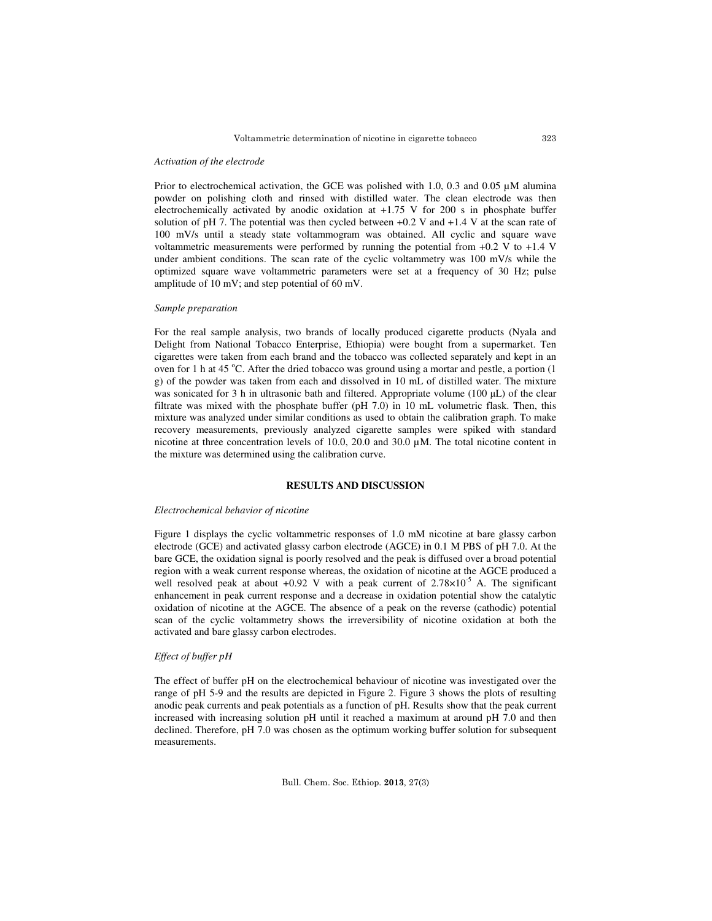#### *Activation of the electrode*

Prior to electrochemical activation, the GCE was polished with 1.0, 0.3 and 0.05  $\mu$ M alumina powder on polishing cloth and rinsed with distilled water. The clean electrode was then electrochemically activated by anodic oxidation at +1.75 V for 200 s in phosphate buffer solution of pH 7. The potential was then cycled between  $+0.2$  V and  $+1.4$  V at the scan rate of 100 mV/s until a steady state voltammogram was obtained. All cyclic and square wave voltammetric measurements were performed by running the potential from +0.2 V to +1.4 V under ambient conditions. The scan rate of the cyclic voltammetry was 100 mV/s while the optimized square wave voltammetric parameters were set at a frequency of 30 Hz; pulse amplitude of 10 mV; and step potential of 60 mV.

#### *Sample preparation*

For the real sample analysis, two brands of locally produced cigarette products (Nyala and Delight from National Tobacco Enterprise, Ethiopia) were bought from a supermarket. Ten cigarettes were taken from each brand and the tobacco was collected separately and kept in an oven for 1 h at 45  $^{\circ}$ C. After the dried tobacco was ground using a mortar and pestle, a portion (1) g) of the powder was taken from each and dissolved in 10 mL of distilled water. The mixture was sonicated for 3 h in ultrasonic bath and filtered. Appropriate volume (100 µL) of the clear filtrate was mixed with the phosphate buffer (pH 7.0) in 10 mL volumetric flask. Then, this mixture was analyzed under similar conditions as used to obtain the calibration graph. To make recovery measurements, previously analyzed cigarette samples were spiked with standard nicotine at three concentration levels of 10.0, 20.0 and 30.0 µM. The total nicotine content in the mixture was determined using the calibration curve.

## **RESULTS AND DISCUSSION**

## *Electrochemical behavior of nicotine*

Figure 1 displays the cyclic voltammetric responses of 1.0 mM nicotine at bare glassy carbon electrode (GCE) and activated glassy carbon electrode (AGCE) in 0.1 M PBS of pH 7.0. At the bare GCE, the oxidation signal is poorly resolved and the peak is diffused over a broad potential region with a weak current response whereas, the oxidation of nicotine at the AGCE produced a well resolved peak at about +0.92 V with a peak current of  $2.78\times10^{-5}$  A. The significant enhancement in peak current response and a decrease in oxidation potential show the catalytic oxidation of nicotine at the AGCE. The absence of a peak on the reverse (cathodic) potential scan of the cyclic voltammetry shows the irreversibility of nicotine oxidation at both the activated and bare glassy carbon electrodes.

## *Effect of buffer pH*

The effect of buffer pH on the electrochemical behaviour of nicotine was investigated over the range of pH 5-9 and the results are depicted in Figure 2. Figure 3 shows the plots of resulting anodic peak currents and peak potentials as a function of pH. Results show that the peak current increased with increasing solution pH until it reached a maximum at around pH 7.0 and then declined. Therefore, pH 7.0 was chosen as the optimum working buffer solution for subsequent measurements.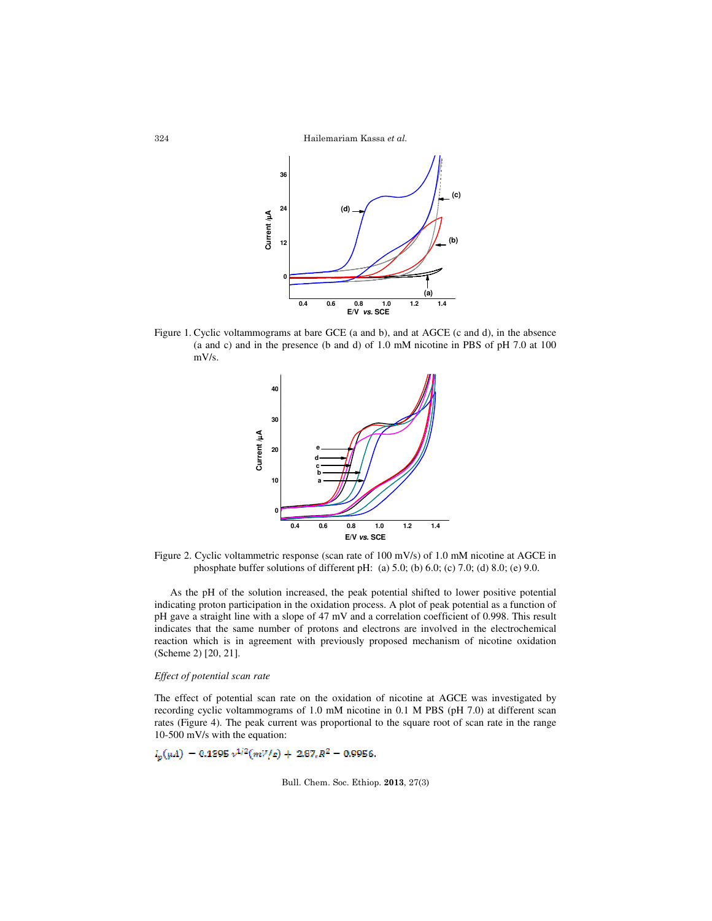Hailemariam Kassa et al.



Figure 1. Cyclic voltammograms at bare GCE (a and b), and at AGCE (c and d), in the absence (a and c) and in the presence (b and d) of 1.0 mM nicotine in PBS of pH 7.0 at 100 mV/s.



Figure 2. Cyclic voltammetric response (scan rate of 100 mV/s) of 1.0 mM nicotine at AGCE in phosphate buffer solutions of different pH: (a) 5.0; (b) 6.0; (c) 7.0; (d) 8.0; (e) 9.0.

As the pH of the solution increased, the peak potential shifted to lower positive potential indicating proton participation in the oxidation process. A plot of peak potential as a function of pH gave a straight line with a slope of 47 mV and a correlation coefficient of 0.998. This result indicates that the same number of protons and electrons are involved in the electrochemical reaction which is in agreement with previously proposed mechanism of nicotine oxidation (Scheme 2) [20, 21].

### *Effect of potential scan rate*

The effect of potential scan rate on the oxidation of nicotine at AGCE was investigated by recording cyclic voltammograms of 1.0 mM nicotine in 0.1 M PBS (pH 7.0) at different scan rates (Figure 4). The peak current was proportional to the square root of scan rate in the range 10-500 mV/s with the equation:

$$
I_n(\mu A) = 0.1395 \nu^{1/2}(mV/s) + 2.87 R^2 = 0.9956.
$$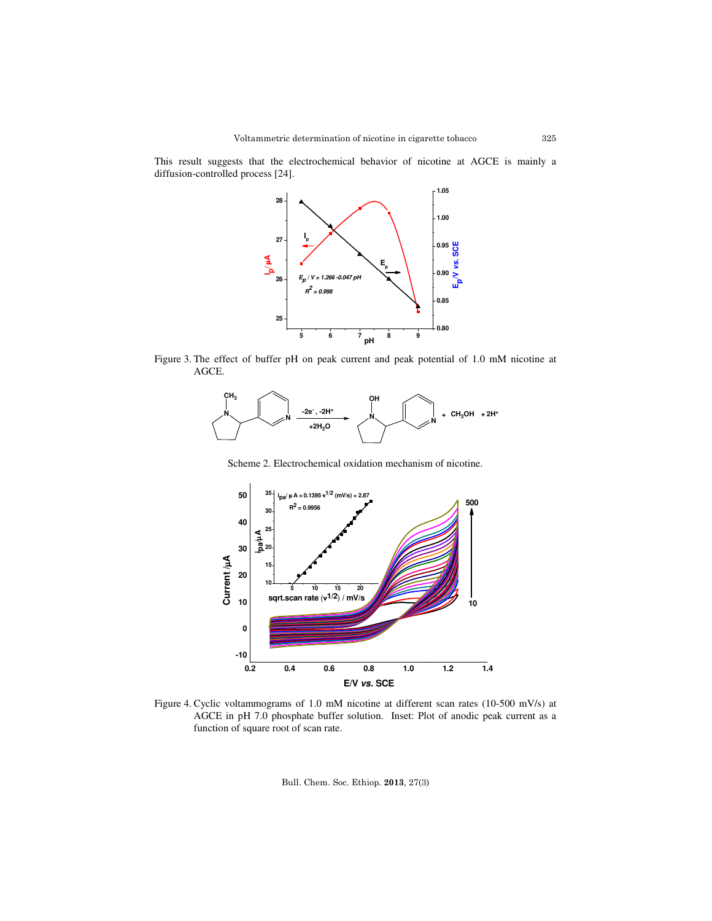This result suggests that the electrochemical behavior of nicotine at AGCE is mainly a diffusion-controlled process [24].



Figure 3. The effect of buffer pH on peak current and peak potential of 1.0 mM nicotine at AGCE.



Scheme 2. Electrochemical oxidation mechanism of nicotine.



Figure 4. Cyclic voltammograms of 1.0 mM nicotine at different scan rates (10-500 mV/s) at AGCE in pH 7.0 phosphate buffer solution. Inset: Plot of anodic peak current as a function of square root of scan rate.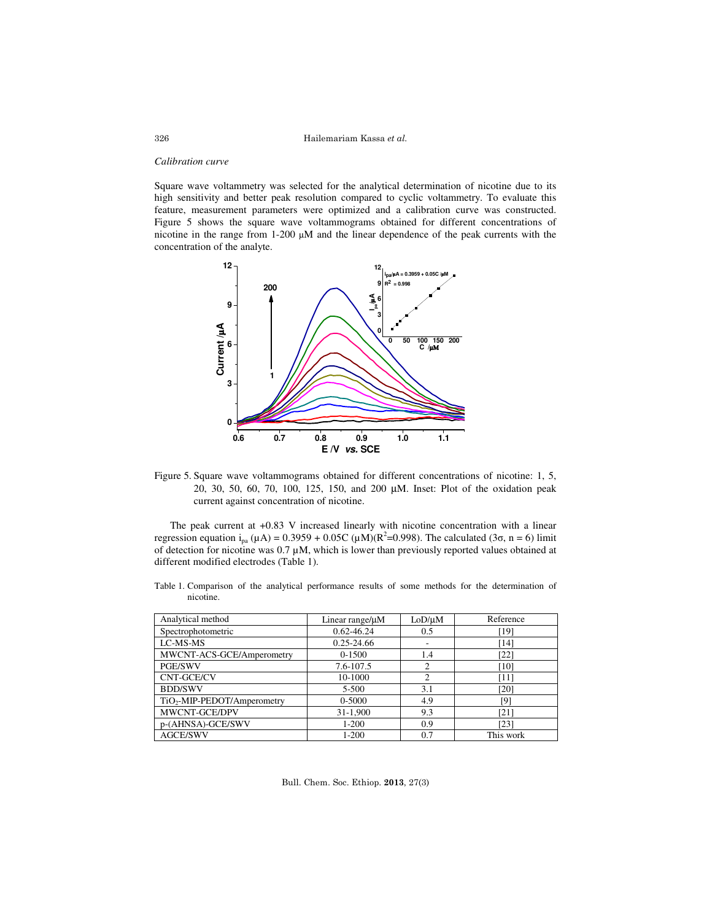Hailemariam Kassa et al.

#### *Calibration curve*

Square wave voltammetry was selected for the analytical determination of nicotine due to its high sensitivity and better peak resolution compared to cyclic voltammetry. To evaluate this feature, measurement parameters were optimized and a calibration curve was constructed. Figure 5 shows the square wave voltammograms obtained for different concentrations of nicotine in the range from 1-200 µM and the linear dependence of the peak currents with the concentration of the analyte.



Figure 5. Square wave voltammograms obtained for different concentrations of nicotine: 1, 5, 20, 30, 50, 60, 70, 100, 125, 150, and 200 µM. Inset: Plot of the oxidation peak current against concentration of nicotine.

The peak current at +0.83 V increased linearly with nicotine concentration with a linear regression equation i<sub>pa</sub> (μA) = 0.3959 + 0.05C (μM)( $R^2$ =0.998). The calculated (3σ, n = 6) limit of detection for nicotine was  $0.7 \mu$ M, which is lower than previously reported values obtained at different modified electrodes (Table 1).

Table 1. Comparison of the analytical performance results of some methods for the determination of nicotine.

| Analytical method                       | Linear range/ $\mu$ M | LoD/µM                   | Reference |  |
|-----------------------------------------|-----------------------|--------------------------|-----------|--|
| Spectrophotometric                      | $0.62 - 46.24$        | 0.5                      | [19]      |  |
| LC-MS-MS                                | $0.25 - 24.66$        | $\overline{\phantom{a}}$ | [14]      |  |
| MWCNT-ACS-GCE/Amperometry               | $0 - 1500$            | 1.4                      | $[22]$    |  |
| <b>PGE/SWV</b>                          | 7.6-107.5             | $\overline{c}$           | [10]      |  |
| CNT-GCE/CV                              | 10-1000               | $\overline{c}$           | [11]      |  |
| <b>BDD/SWV</b>                          | $5 - 500$             | 3.1                      | [20]      |  |
| TiO <sub>2</sub> -MIP-PEDOT/Amperometry | 0-5000                | 4.9                      | [9]       |  |
| MWCNT-GCE/DPV                           | 31-1,900              | 9.3                      | [21]      |  |
| p-(AHNSA)-GCE/SWV                       | $1 - 200$             | 0.9                      | [23]      |  |
| <b>AGCE/SWV</b>                         | $1 - 200$             | 0.7                      | This work |  |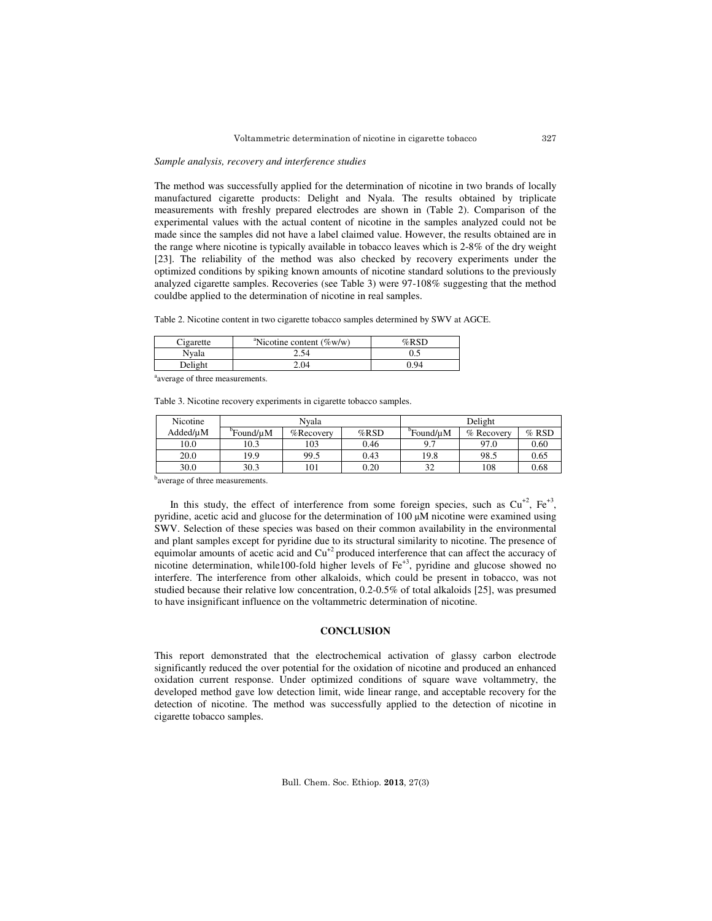#### *Sample analysis, recovery and interference studies*

The method was successfully applied for the determination of nicotine in two brands of locally manufactured cigarette products: Delight and Nyala. The results obtained by triplicate measurements with freshly prepared electrodes are shown in (Table 2). Comparison of the experimental values with the actual content of nicotine in the samples analyzed could not be made since the samples did not have a label claimed value. However, the results obtained are in the range where nicotine is typically available in tobacco leaves which is 2-8% of the dry weight [23]. The reliability of the method was also checked by recovery experiments under the optimized conditions by spiking known amounts of nicotine standard solutions to the previously analyzed cigarette samples. Recoveries (see Table 3) were 97-108% suggesting that the method couldbe applied to the determination of nicotine in real samples.

Table 2. Nicotine content in two cigarette tobacco samples determined by SWV at AGCE.

| Cigarette | <sup>a</sup> Nicotine content ( $\%$ w/w) | $%$ RSD |
|-----------|-------------------------------------------|---------|
| Nyala     | 2.54                                      |         |
| Delight   | 2.04                                      | 9.94    |

average of three measurements.

Table 3. Nicotine recovery experiments in cigarette tobacco samples.

| Nicotine | Nvala                 |           |         | Delight               |            |         |
|----------|-----------------------|-----------|---------|-----------------------|------------|---------|
| Added/uM | <sup>b</sup> Found/uM | %Recovery | $%$ RSD | <sup>p</sup> Found/uM | % Recovery | $%$ RSD |
| 10.0     | 10.3                  | 103       | 0.46    | Q 7                   | 97.0       | 0.60    |
| 20.0     | 19.9                  | 99.5      | 0.43    | 19.8                  | 98.5       | 0.65    |
| 30.0     | 30.3                  | 101       | 0.20    | 32                    | 108        | 0.68    |

<sup>b</sup>average of three measurements.

In this study, the effect of interference from some foreign species, such as  $Cu^{+2}$ , Fe<sup>+3</sup>, pyridine, acetic acid and glucose for the determination of  $100 \mu M$  nicotine were examined using SWV. Selection of these species was based on their common availability in the environmental and plant samples except for pyridine due to its structural similarity to nicotine. The presence of equimolar amounts of acetic acid and  $Cu^{+2}$  produced interference that can affect the accuracy of nicotine determination, while100-fold higher levels of Fe<sup>+3</sup>, pyridine and glucose showed no interfere. The interference from other alkaloids, which could be present in tobacco, was not studied because their relative low concentration, 0.2-0.5% of total alkaloids [25], was presumed to have insignificant influence on the voltammetric determination of nicotine.

## **CONCLUSION**

This report demonstrated that the electrochemical activation of glassy carbon electrode significantly reduced the over potential for the oxidation of nicotine and produced an enhanced oxidation current response. Under optimized conditions of square wave voltammetry, the developed method gave low detection limit, wide linear range, and acceptable recovery for the detection of nicotine. The method was successfully applied to the detection of nicotine in cigarette tobacco samples.